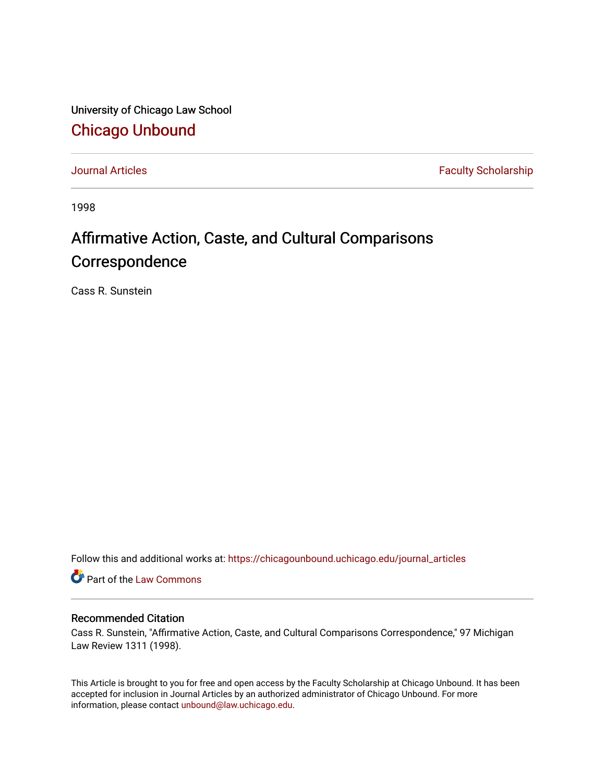University of Chicago Law School [Chicago Unbound](https://chicagounbound.uchicago.edu/)

[Journal Articles](https://chicagounbound.uchicago.edu/journal_articles) **Faculty Scholarship Faculty Scholarship** 

1998

# Affirmative Action, Caste, and Cultural Comparisons Correspondence

Cass R. Sunstein

Follow this and additional works at: [https://chicagounbound.uchicago.edu/journal\\_articles](https://chicagounbound.uchicago.edu/journal_articles?utm_source=chicagounbound.uchicago.edu%2Fjournal_articles%2F8283&utm_medium=PDF&utm_campaign=PDFCoverPages) 

Part of the [Law Commons](http://network.bepress.com/hgg/discipline/578?utm_source=chicagounbound.uchicago.edu%2Fjournal_articles%2F8283&utm_medium=PDF&utm_campaign=PDFCoverPages)

# Recommended Citation

Cass R. Sunstein, "Affirmative Action, Caste, and Cultural Comparisons Correspondence," 97 Michigan Law Review 1311 (1998).

This Article is brought to you for free and open access by the Faculty Scholarship at Chicago Unbound. It has been accepted for inclusion in Journal Articles by an authorized administrator of Chicago Unbound. For more information, please contact [unbound@law.uchicago.edu](mailto:unbound@law.uchicago.edu).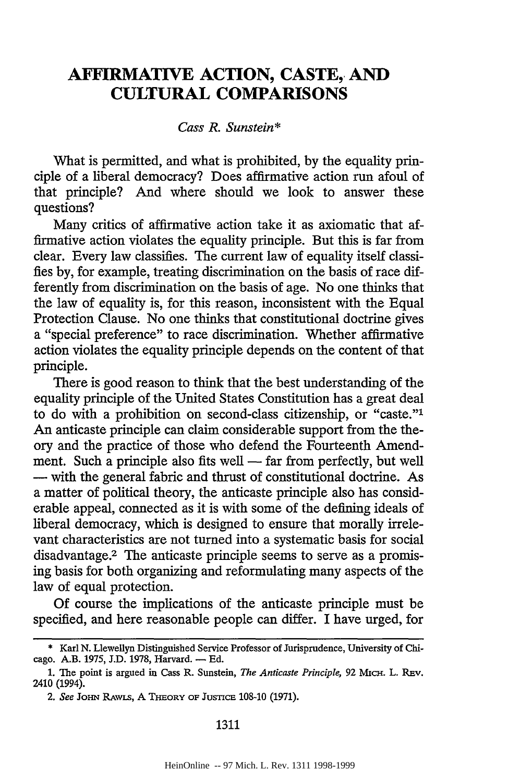# **AFIRMATIVE ACTION, CASTE, AND CULTURAL COMPARISONS**

## *Cass R. Sunstein\**

What is permitted, and what is prohibited, by the equality principle of a liberal democracy? Does affirmative action run afoul of that principle? And where should we look to answer these questions?

Many critics of affirmative action take it as axiomatic that affirmative action violates the equality principle. But this is far from clear. Every law classifies. The current law of equality itself classifies **by,** for example, treating discrimination on the basis of race differently from discrimination on the basis of age. No one thinks that the law of equality is, for this reason, inconsistent with the Equal Protection Clause. No one thinks that constitutional doctrine gives a "special preference" to race discrimination. Whether affirmative action violates the equality principle depends on the content of that principle.

There is good reason to think that the best understanding of the equality principle of the United States Constitution has a great deal to do with a prohibition on second-class citizenship, or "caste."' An anticaste principle can claim considerable support from the theory and the practice of those who defend the Fourteenth Amendment. Such a principle also fits well — far from perfectly, but well **-** with the general fabric and thrust of constitutional doctrine. As a matter of political theory, the anticaste principle also has considerable appeal, connected as it is with some of the defining ideals of liberal democracy, which is designed to ensure that morally irrelevant characteristics are not turned into a systematic basis for social disadvantage.2 The anticaste principle seems to serve as a promising basis for both organizing and reformulating many aspects of the law of equal protection.

Of course the implications of the anticaste principle must be specified, and here reasonable people can differ. I have urged, for

#### 1311

<sup>\*</sup> Karl **N.** Llewellyn Distinguished Service Professor of Jurisprudence, University of Chicago. A.B. 1975, **J.D.** 1978, Harvard. - **Ed.**

<sup>1.</sup> The point is argued in Cass R. Sunstein, *The Anticaste Principle*, 92 MICH. L. Rev. 2410 (1994).

*<sup>2.</sup> See* Jo-n RAwLS, A THEoRy OF **Jus-TcE** 108-10 (1971).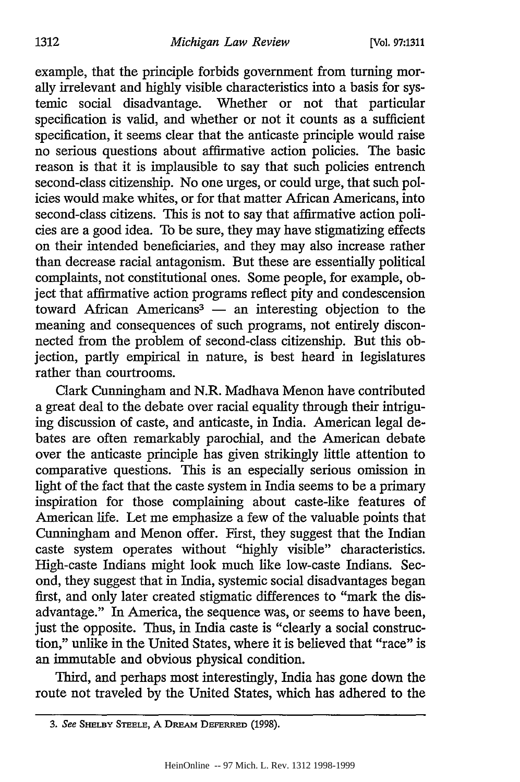example, that the principle forbids government from turning morally irrelevant and highly visible characteristics into a basis for systemic social disadvantage. Whether or not that particular specification is valid, and whether or not it counts as a sufficient specification, it seems clear that the anticaste principle would raise no serious questions about affirmative action policies. The basic reason is that it is implausible to say that such policies entrench second-class citizenship. No one urges, or could urge, that such policies would make whites, or for that matter African Americans, into second-class citizens. This is not to say that affirmative action policies are a good idea. To be sure, they may have stigmatizing effects on their intended beneficiaries, and they may also increase rather than decrease racial antagonism. But these are essentially political complaints, not constitutional ones. Some people, for example, object that affirmative action programs reflect pity and condescension toward African Americans<sup>3</sup> — an interesting objection to the meaning and consequences of such programs, not entirely disconnected from the problem of second-class citizenship. But this objection, partly empirical in nature, is best heard in legislatures rather than courtrooms.

Clark Cunningham and N.R. Madhava Menon have contributed a great deal to the debate over racial equality through their intriguing discussion of caste, and anticaste, in India. American legal debates are often remarkably parochial, and the American debate over the anticaste principle has given strikingly little attention to comparative questions. This is an especially serious omission in light of the fact that the caste system in India seems to be a primary inspiration for those complaining about caste-like features of American life. Let me emphasize a few of the valuable points that Cunningham and Menon offer. First, they suggest that the Indian caste system operates without "highly visible" characteristics. High-caste Indians might look much like low-caste Indians. Second, they suggest that in India, systemic social disadvantages began first, and only later created stigmatic differences to "mark the disadvantage." In America, the sequence was, or seems to have been, just the opposite. Thus, in India caste is "clearly a social construction," unlike in the United States, where it is believed that "race" is an immutable and obvious physical condition.

Third, and perhaps most interestingly, India has gone down the route not traveled by the United States, which has adhered to the

*<sup>3.</sup>* See **SHELBY STEELE, A DREAM** DEFERRED **(1998).**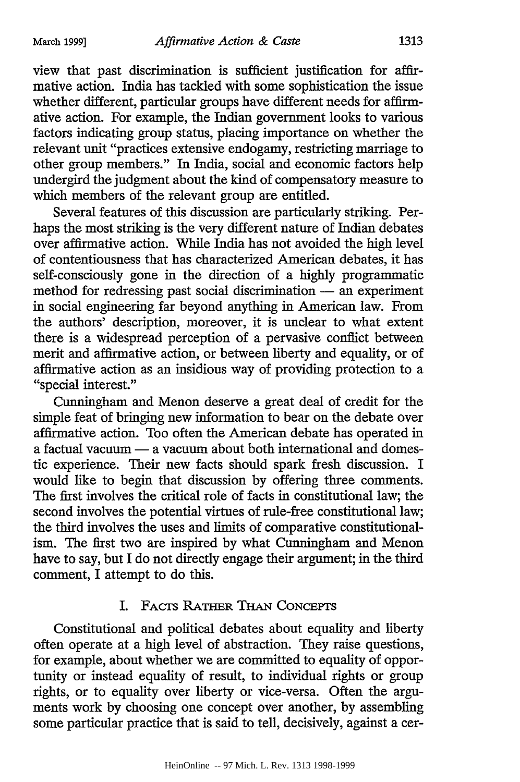view that past discrimination is sufficient justification for affirmative action. India has tackled with some sophistication the issue whether different, particular groups have different needs for affirmative action. For example, the Indian government looks to various factors indicating group status, placing importance on whether the relevant unit "practices extensive endogamy, restricting marriage to other group members." In India, social and economic factors help undergird the judgment about the kind of compensatory measure to which members of the relevant group are entitled.

Several features of this discussion are particularly striking. Perhaps the most striking is the very different nature of Indian debates over affirmative action. While India has not avoided the high level of contentiousness that has characterized American debates, it has self-consciously gone in the direction of a highly programmatic method for redressing past social discrimination - an experiment in social engineering far beyond anything in American law. From the authors' description, moreover, it is unclear to what extent there is a widespread perception of a pervasive conflict between merit and affirmative action, or between liberty and equality, or of affirmative action as an insidious way of providing protection to a ''special interest."

Cunningham and Menon deserve a great deal of credit for the simple feat of bringing new information to bear on the debate over affirmative action. Too often the American debate has operated in a factual vacuum **-** a vacuum about both international and domestic experience. Their new facts should spark fresh discussion. I would like to begin that discussion by offering three comments. The first involves the critical role of facts in constitutional law; the second involves the potential virtues of rule-free constitutional law; the third involves the uses and limits of comparative constitutionalism. The first two are inspired by what Cunningham and Menon have to say, but I do not directly engage their argument; in the third comment, I attempt to do this.

# I. FACTS RATHER **THAN** CONCEPTS

Constitutional and political debates about equality and liberty often operate at a high level of abstraction. They raise questions, for example, about whether we are committed to equality of opportunity or instead equality of result, to individual rights or group rights, or to equality over liberty or vice-versa. Often the arguments work by choosing one concept over another, by assembling some particular practice that is said to tell, decisively, against a cer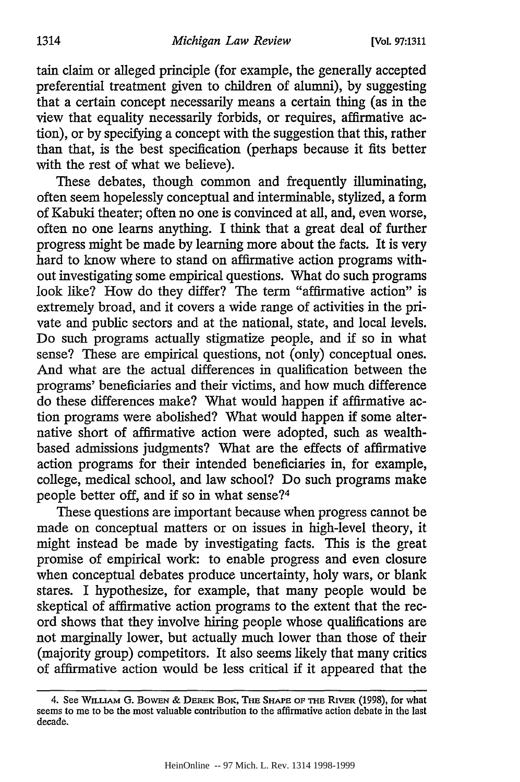tain claim or alleged principle (for example, the generally accepted preferential treatment given to children of alumni), by suggesting that a certain concept necessarily means a certain thing (as in the view that equality necessarily forbids, or requires, affirmative action), or by specifying a concept with the suggestion that this, rather than that, is the best specification (perhaps because it fits better with the rest of what we believe).

These debates, though common and frequently illuminating, often seem hopelessly conceptual and interminable, stylized, a form of Kabuki theater; often no one is convinced at all, and, even worse, often no one learns anything. I think that a great deal of further progress might be made by learning more about the facts. It is very hard to know where to stand on affirmative action programs without investigating some empirical questions. What do such programs look like? How do they differ? The term "affirmative action" is extremely broad, and it covers a wide range of activities in the private and public sectors and at the national, state, and local levels. Do such programs actually stigmatize people, and if so in what sense? These are empirical questions, not (only) conceptual ones. And what are the actual differences in qualification between the programs' beneficiaries and their victims, and how much difference do these differences make? What would happen if affirmative action programs were abolished? What would happen if some alternative short of affirmative action were adopted, such as wealthbased admissions judgments? What are the effects of affirmative action programs for their intended beneficiaries in, for example, college, medical school, and law school? Do such programs make people better off, and if so in what sense?<sup>4</sup>

These questions are important because when progress cannot be made on conceptual matters or on issues in high-level theory, it might instead be made by investigating facts. This is the great promise of empirical work: to enable progress and even closure when conceptual debates produce uncertainty, holy wars, or blank stares. I hypothesize, for example, that many people would be skeptical of affirmative action programs to the extent that the record shows that they involve hiring people whose qualifications are not marginally lower, but actually much lower than those of their (majority group) competitors. It also seems likely that many critics of affirmative action would be less critical if it appeared that the

<sup>4.</sup> See WiLLIAM **G.** BOWEN & **DEREK** BOK, THm **SHIAPE** OF Tm RIVER (1998), for what seems to me to be the most valuable contribution to the affirmative action debate in the last decade.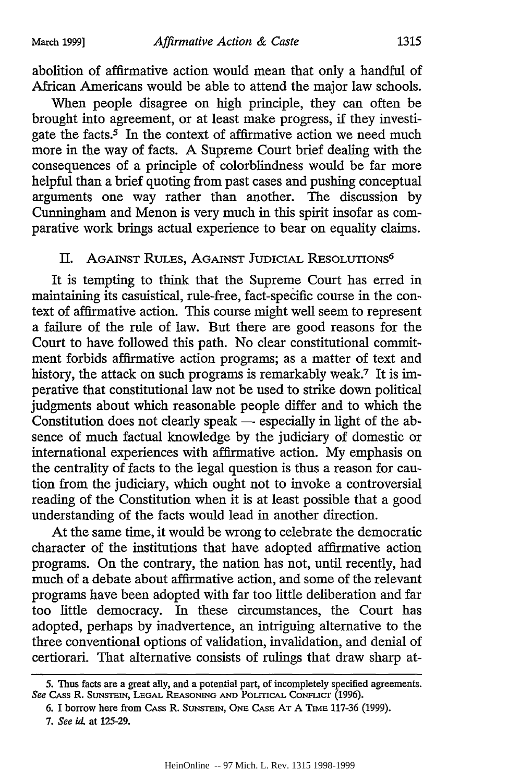abolition of affirmative action would mean that only a handful of African Americans would be able to attend the major law schools.

When people disagree on high principle, they can often be brought into agreement, or at least make progress, if they investigate the facts.<sup>5</sup> In the context of affirmative action we need much more in the way of facts. A Supreme Court brief dealing with the consequences of a principle of colorblindness would be far more helpful than a brief quoting from past cases and pushing conceptual arguments one way rather than another. The discussion by Cunningham and Menon is very much in this spirit insofar as comparative work brings actual experience to bear on equality claims.

# II. AGAINST RULES, AGAINST JUDICIAL RESOLUTIONS<sup>6</sup>

It is tempting to think that the Supreme Court has erred in maintaining its casuistical, rule-free, fact-specific course in the context of affirmative action. This course might well seem to represent a failure of the rule of law. But there are good reasons for the Court to have followed this path. No clear constitutional commitment forbids affirmative action programs; as a matter of text and history, the attack on such programs is remarkably weak.<sup>7</sup> It is imperative that constitutional law not be used to strike down political judgments about which reasonable people differ and to which the Constitution does not clearly speak — especially in light of the absence of much factual knowledge by the judiciary of domestic or international experiences with affirmative action. My emphasis on the centrality of facts to the legal question is thus a reason for caution from the judiciary, which ought not to invoke a controversial reading of the Constitution when it is at least possible that a good understanding of the facts would lead in another direction.

At the same time, it would be wrong to celebrate the democratic character of the institutions that have adopted affirmative action programs. On the contrary, the nation has not, until recently, had much of a debate about affirmative action, and some of the relevant programs have been adopted with far too little deliberation and far too little democracy. In these circumstances, the Court has adopted, perhaps by inadvertence, an intriguing alternative to the three conventional options of validation, invalidation, and denial of certiorari. That alternative consists of rulings that draw sharp at-

<sup>5.</sup> Thus facts are a great ally, and a potential part, of incompletely specified agreements. See Cass R. SUNSTEIN, LEGAL REASONING AND POLITICAL CONFLICT (1996).

<sup>6.</sup> I borrow here from Cass R. SUNSTEIN, ONE CASE AT A TIME 117-36 (1999).

<sup>7.</sup> See id at 125-29.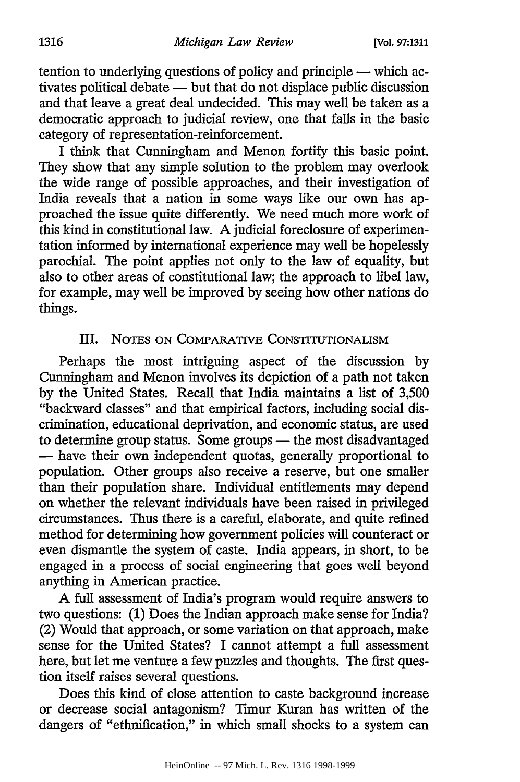tention to underlying questions of policy and principle **-** which activates political debate **-** but that do not displace public discussion and that leave a great deal undecided. This may well be taken as a democratic approach to judicial review, one that falls in the basic category of representation-reinforcement.

I think that Cunningham and Menon fortify this basic point. They show that any simple solution to the problem may overlook the wide range of possible approaches, and their investigation of India reveals that a nation in some ways like our own has approached the issue quite differently. We need much more work of this kind in constitutional law. A judicial foreclosure of experimentation informed by international experience may well be hopelessly parochial. The point applies not only to the law of equality, but also to other areas of constitutional law; the approach to libel law, for example, may well be improved by seeing how other nations do things.

# IlI. NOTES **ON** COMPARATIVE CONSTITUTIONALISM

Perhaps the most intriguing aspect of the discussion by Cunningham and Menon involves its depiction of a path not taken by the United States. Recall that India maintains a list of 3,500 "backward classes" and that empirical factors, including social discrimination, educational deprivation, and economic status, are used to determine group status. Some groups - the most disadvantaged - have their own independent quotas, generally proportional to population. Other groups also receive a reserve, but one smaller than their population share. Individual entitlements may depend on whether the relevant individuals have been raised in privileged circumstances. Thus there is a careful, elaborate, and quite refined method for determining how government policies will counteract or even dismantle the system of caste. India appears, in short, to be engaged in a process of social engineering that goes well beyond anything in American practice.

A full assessment of India's program would require answers to two questions: (1) Does the Indian approach make sense for India? (2) Would that approach, or some variation on that approach, make sense for the United States? I cannot attempt a full assessment here, but let me venture a few puzzles and thoughts. The first question itself raises several questions.

Does this kind of close attention to caste background increase or decrease social antagonism? Timur Kuran has written of the dangers of "etbnification," in which small shocks to a system can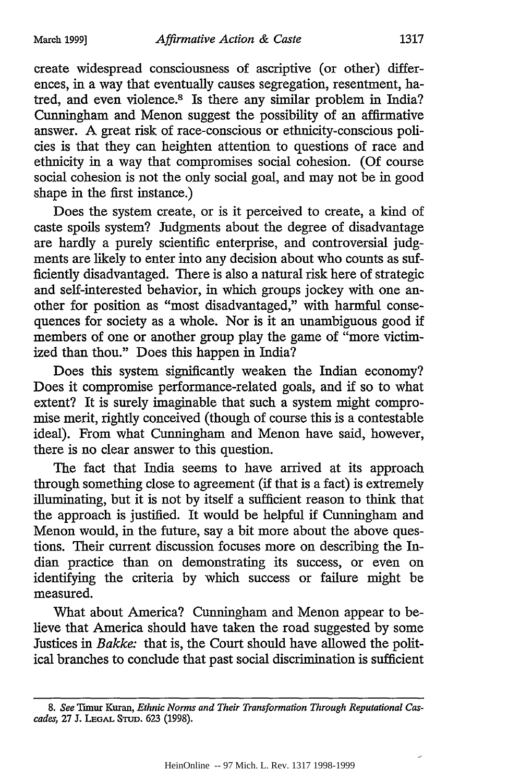create widespread consciousness of ascriptive (or other) differences, in a way that eventually causes segregation, resentment, hatred, and even violence.<sup>8</sup> Is there any similar problem in India? Cunningham and Menon suggest the possibility of an affirmative answer. A great risk of race-conscious or ethnicity-conscious policies is that they can heighten attention to questions of race and ethnicity in a way that compromises social cohesion. (Of course social cohesion is not the only social goal, and may not be in good shape in the first instance.)

Does the system create, or is it perceived to create, a kind of caste spoils system? Judgments about the degree of disadvantage are hardly a purely scientific enterprise, and controversial judgments are likely to enter into any decision about who counts as sufficiently disadvantaged. There is also a natural risk here of strategic and self-interested behavior, in which groups jockey with one another for position as "most disadvantaged," with harmful consequences for society as a whole. Nor is it an unambiguous good if members of one or another group play the game of "more victimized than thou." Does this happen in India?

Does this system significantly weaken the Indian economy? Does it compromise performance-related goals, and if so to what extent? It is surely imaginable that such a system might compromise merit, rightly conceived (though of course this is a contestable ideal). From what Cunningham and Menon have said, however, there is no clear answer to this question.

The fact that India seems to have arrived at its approach through something close to agreement (if that is a fact) is extremely illuminating, but it is not by itself a sufficient reason to think that the approach is justified. It would be helpful if Cunningham and Menon would, in the future, say a bit more about the above questions. Their current discussion focuses more on describing the Indian practice than on demonstrating its success, or even on identifying the criteria by which success or failure might be measured.

What about America? Cunningham and Menon appear to believe that America should have taken the road suggested by some Justices in *Bakke:* that is, the Court should have allowed the political branches to conclude that past social discrimination is sufficient

*<sup>8.</sup> See* Thmur Kuran, *Ethnic Norms and Their Transformation Through Reputational Cascades,* **27 J. LEGAL** STUD. 623 (1998).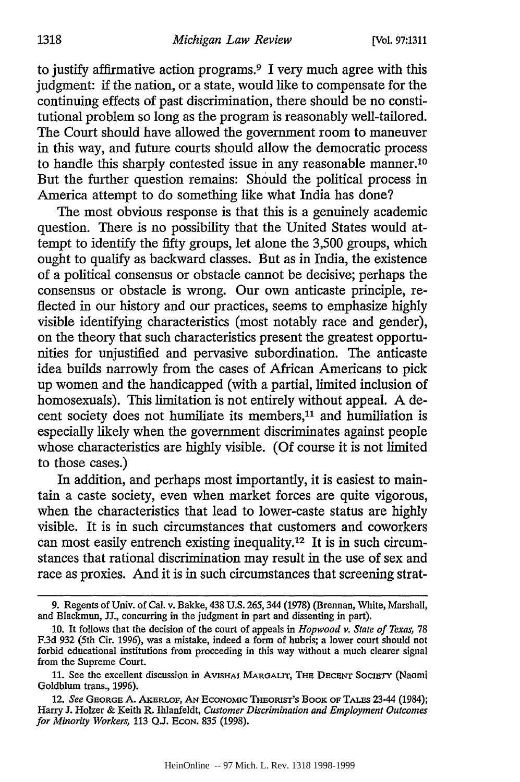to justify affirmative action programs.9 I very much agree with this judgment: if the nation, or a state, would like to compensate for the continuing effects of past discrimination, there should be no constitutional problem so long as the program is reasonably well-tailored. The Court should have allowed the government room to maneuver in this way, and future courts should allow the democratic process to handle this sharply contested issue in any reasonable manner. <sup>10</sup> But the further question remains: Should the political process in America attempt to do something like what India has done?

The most obvious response is that this is a genuinely academic question. There is no possibility that the United States would attempt to identify the fifty groups, let alone the 3,500 groups, which ought to qualify as backward classes. But as in India, the existence of a political consensus or obstacle cannot be decisive; perhaps the consensus or obstacle is wrong. Our own anticaste principle, reflected in our history and our practices, seems to emphasize highly visible identifying characteristics (most notably race and gender), on the theory that such characteristics present the greatest opportunities for unjustified and pervasive subordination. The anticaste idea builds narrowly from the cases of African Americans to pick up women and the handicapped (with a partial, limited inclusion of homosexuals). This limitation is not entirely without appeal. A decent society does not humiliate its members,<sup>11</sup> and humiliation is especially likely when the government discriminates against people whose characteristics are highly visible. (Of course it is not limited to those cases.)

In addition, and perhaps most importantly, it is easiest to maintain a caste society, even when market forces are quite vigorous, when the characteristics that lead to lower-caste status are highly visible. It is in such circumstances that customers and coworkers can most easily entrench existing inequality.<sup>12</sup> It is in such circumstances that rational discrimination may result in the use of sex and race as proxies. And it is in such circumstances that screening strat-

<sup>9.</sup> Regents of Univ. of Cal. v. Bakke, 438 U.S. 265,344 (1978) (Brennan, White, Marshall, and Blackmun, JJ., concurring in the judgment in part and dissenting in part).

**<sup>10.</sup>** It follows that the decision of the court of appeals in *Hopwood v. State of Texas,* 78 F.3d 932 (5th Cir. 1996), was a mistake, indeed a form of hubris; a lower court should not forbid educational institutions from proceeding in this way without a much clearer signal from the Supreme Court.

<sup>11.</sup> See the excellent discussion in AvisHAi MAROALIT, Tim **DECENT** SOCIETY (Naomi Goldblum trans., 1996).

<sup>12.</sup> See GEORGE A. AKERLOF, AN ECONOMIC THEORIST'S BOOK OF TALES 23-44 (1984); Harry J. Holzer & Keith R. Ihlanfeldt, *Customer Discrimination and Employment Outcomes for Minority Workers,* 113 QJ. EcoN. 835 (1998).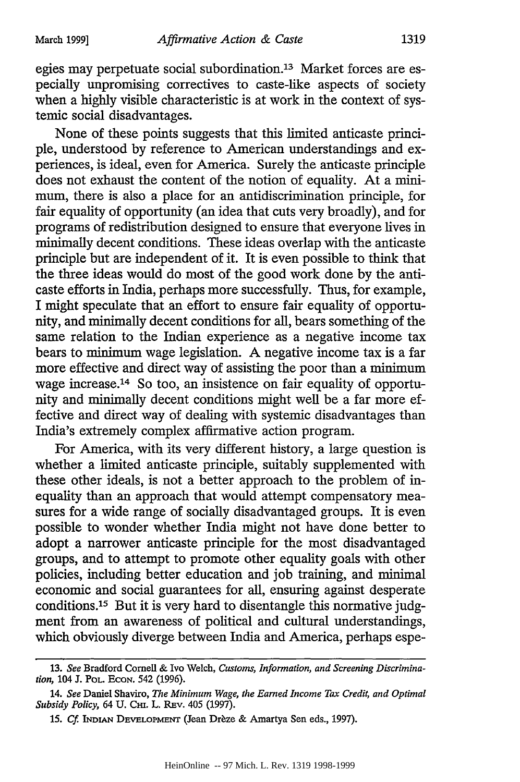egies may perpetuate social subordination.<sup>13</sup> Market forces are especially unpromising correctives to caste-like aspects of society when a highly visible characteristic is at work in the context of systemic social disadvantages.

None of these points suggests that this limited anticaste principle, understood by reference to American understandings and experiences, is ideal, even for America. Surely the anticaste principle does not exhaust the content of the notion of equality. At a minimum, there is also a place for an antidiscrimination principle, for fair equality of opportunity (an idea that cuts very broadly), and for programs of redistribution designed to ensure that everyone lives in minimally decent conditions. These ideas overlap with the anticaste principle but are independent of it. It is even possible to think that the three ideas would do most of the good work done by the anticaste efforts in India, perhaps more successfully. Thus, for example, I might speculate that an effort to ensure fair equality of opportunity, and minimally decent conditions for all, bears something of the same relation to the Indian experience as a negative income tax bears to minimum wage legislation. A negative income tax is a far more effective and direct way of assisting the poor than a minimum wage increase.14 So too, an insistence on fair equality of opportunity and minimally decent conditions might well be a far more effective and direct way of dealing with systemic disadvantages than India's extremely complex affirmative action program.

For America, with its very different history, a large question is whether a limited anticaste principle, suitably supplemented with these other ideals, is not a better approach to the problem of inequality than an approach that would attempt compensatory measures for a wide range of socially disadvantaged groups. It is even possible to wonder whether India might not have done better to adopt a narrower anticaste principle for the most disadvantaged groups, and to attempt to promote other equality goals with other policies, including better education and job training, and minimal economic and social guarantees for all, ensuring against desperate conditions.<sup>15</sup> But it is very hard to disentangle this normative judgment from an awareness of political and cultural understandings, which obviously diverge between India and America, perhaps espe-

<sup>13.</sup> *See* Bradford Cornell & Ivo Welch, *Customs, Information, and Screening Discrimination,* 104 J. **POL. ECON.** 542 (1996).

<sup>14.</sup> *See* Daniel Shaviro, *The Minimum Wage, the Earned Income Tax Credit, and Optimal Subsidy Policy, 64 U. CHI. L. REv. 405 (1997).* 

<sup>15.</sup> Cf. INDIAN DEVELOPMENT (Jean Drèze & Amartya Sen eds., 1997).